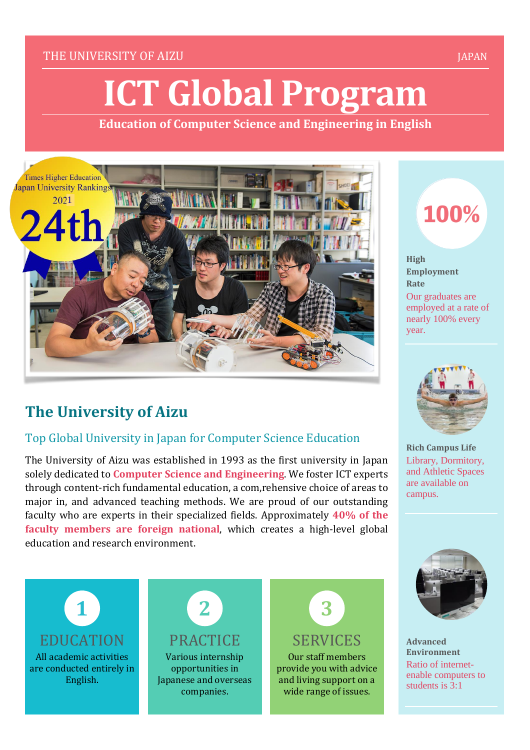#### THE UNIVERSITY OF AIZU AND A CONTROL CONTROL CONTROL CONTROL CONTROL CONTROL CONTROL CONTROL CONTROL CONTROL CO

# **ICT Global Program**

**Education of Computer Science and Engineering in English**



# **The University of Aizu**

### Top Global University in Japan for Computer Science Education

The University of Aizu was established in 1993 as the first university in Japan solely dedicated to **Computer Science and Engineering**. We foster ICT experts through content-rich fundamental education, a com,rehensive choice of areas to major in, and advanced teaching methods. We are proud of our outstanding faculty who are experts in their specialized fields. Approximately **40% of the faculty members are foreign national**, which creates a high-level global education and research environment.

100%

**High Employment Rate** Our graduates are employed at a rate of nearly 100% every year.



**Rich Campus Life** Library, Dormitory, and Athletic Spaces are available on campus.



**Advanced Environment** Ratio of internetenable computers to students is 3:1



All academic activities are conducted entirely in English.



Various internship opportunities in Japanese and overseas companies.



Our staff members provide you with advice and living support on a wide range of issues.